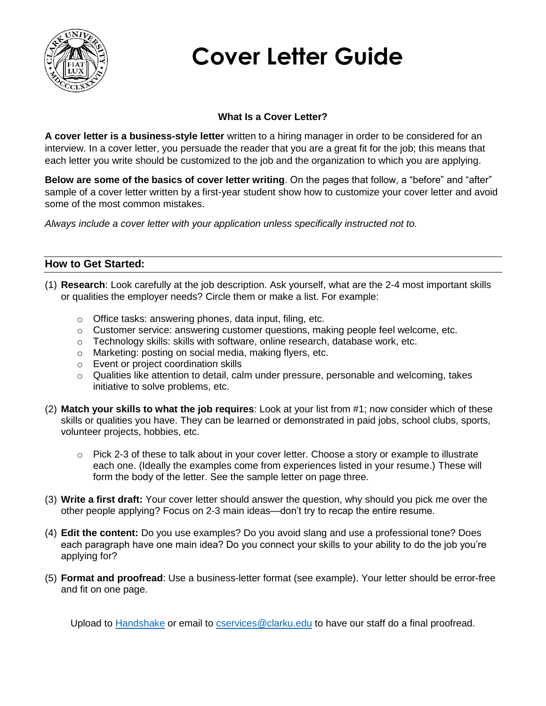

# **Cover Letter Guide**

### **What Is a Cover Letter?**

**A cover letter is a business-style letter** written to a hiring manager in order to be considered for an interview. In a cover letter, you persuade the reader that you are a great fit for the job; this means that each letter you write should be customized to the job and the organization to which you are applying.

**Below are some of the basics of cover letter writing**. On the pages that follow, a "before" and "after" sample of a cover letter written by a first-year student show how to customize your cover letter and avoid some of the most common mistakes.

*Always include a cover letter with your application unless specifically instructed not to.* 

### **How to Get Started:**

- (1) **Research**: Look carefully at the job description. Ask yourself, what are the 2-4 most important skills or qualities the employer needs? Circle them or make a list. For example:
	- o Office tasks: answering phones, data input, filing, etc.
	- $\circ$  Customer service: answering customer questions, making people feel welcome, etc.
	- $\circ$  Technology skills: skills with software, online research, database work, etc.
	- o Marketing: posting on social media, making flyers, etc.
	- o Event or project coordination skills
	- o Qualities like attention to detail, calm under pressure, personable and welcoming, takes initiative to solve problems, etc.
- (2) **Match your skills to what the job requires**: Look at your list from #1; now consider which of these skills or qualities you have. They can be learned or demonstrated in paid jobs, school clubs, sports, volunteer projects, hobbies, etc.
	- o Pick 2-3 of these to talk about in your cover letter. Choose a story or example to illustrate each one. (Ideally the examples come from experiences listed in your resume.) These will form the body of the letter. See the sample letter on page three.
- (3) **Write a first draft:** Your cover letter should answer the question, why should you pick me over the other people applying? Focus on 2-3 main ideas—don't try to recap the entire resume.
- (4) **Edit the content:** Do you use examples? Do you avoid slang and use a professional tone? Does each paragraph have one main idea? Do you connect your skills to your ability to do the job you're applying for?
- (5) **Format and proofread**: Use a business-letter format (see example). Your letter should be error-free and fit on one page.

Upload to [Handshake](https://www.clarku.edu/handshake/) or email to [cservices@clarku.edu](mailto:cservices@clarku.edu) to have our staff do a final proofread.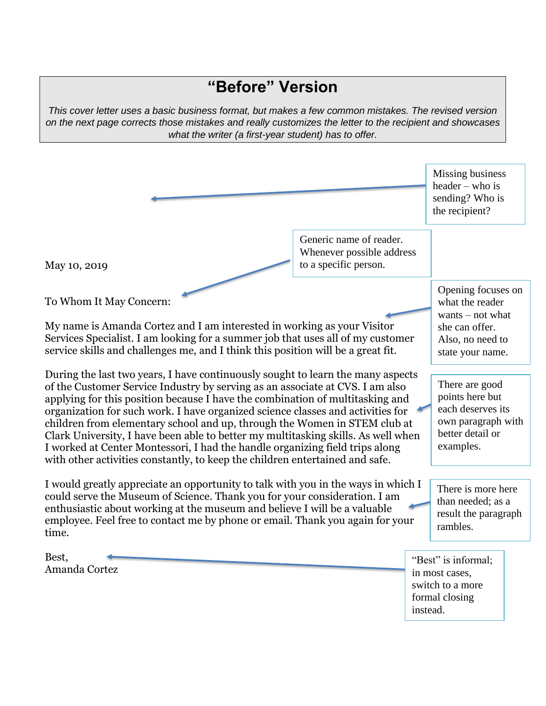## **"Before" Version**

*This cover letter uses a basic business format, but makes a few common mistakes. The revised version on the next page corrects those mistakes and really customizes the letter to the recipient and showcases what the writer (a first-year student) has to offer.* 

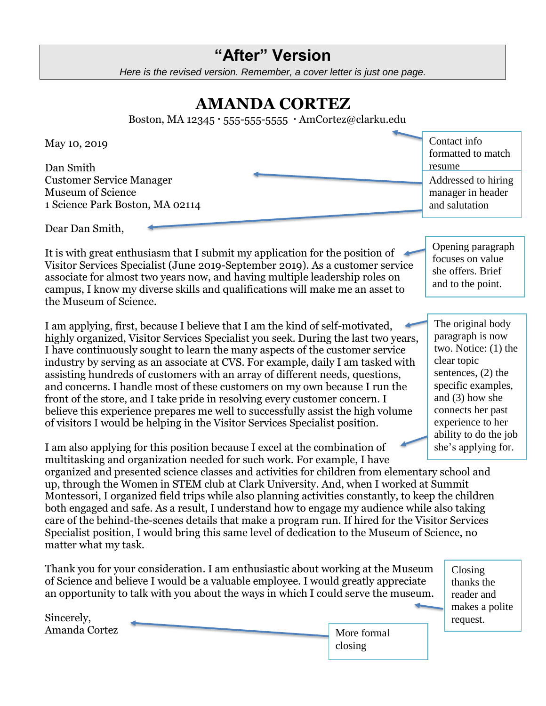## **"After" Version**

*Here is the revised version. Remember, a cover letter is just one page.*

## **AMANDA CORTEZ**

Boston, MA 12345 · 555-555-5555 · AmCortez@clarku.edu

May 10, 2019

Dan Smith Customer Service Manager Museum of Science 1 Science Park Boston, MA 02114

Contact info formatted to match resume Addressed to hiring manager in header and salutation

Dear Dan Smith,

It is with great enthusiasm that I submit my application for the position of Visitor Services Specialist (June 2019-September 2019). As a customer service associate for almost two years now, and having multiple leadership roles on campus, I know my diverse skills and qualifications will make me an asset to the Museum of Science.

I am applying, first, because I believe that I am the kind of self-motivated, highly organized, Visitor Services Specialist you seek. During the last two years, I have continuously sought to learn the many aspects of the customer service industry by serving as an associate at CVS. For example, daily I am tasked with assisting hundreds of customers with an array of different needs, questions, and concerns. I handle most of these customers on my own because I run the front of the store, and I take pride in resolving every customer concern. I believe this experience prepares me well to successfully assist the high volume of visitors I would be helping in the Visitor Services Specialist position.

she offers. Brief and to the point.

Opening paragraph focuses on value

The original body paragraph is now two. Notice: (1) the clear topic sentences, (2) the specific examples, and (3) how she connects her past experience to her ability to do the job she's applying for.

I am also applying for this position because I excel at the combination of multitasking and organization needed for such work. For example, I have

organized and presented science classes and activities for children from elementary school and up, through the Women in STEM club at Clark University. And, when I worked at Summit Montessori, I organized field trips while also planning activities constantly, to keep the children both engaged and safe. As a result, I understand how to engage my audience while also taking care of the behind-the-scenes details that make a program run. If hired for the Visitor Services Specialist position, I would bring this same level of dedication to the Museum of Science, no matter what my task.

Thank you for your consideration. I am enthusiastic about working at the Museum of Science and believe I would be a valuable employee. I would greatly appreciate an opportunity to talk with you about the ways in which I could serve the museum.

Closing thanks the reader and makes a polite request.

| Sincerely,    |  |
|---------------|--|
| Amanda Cortez |  |

More formal closing